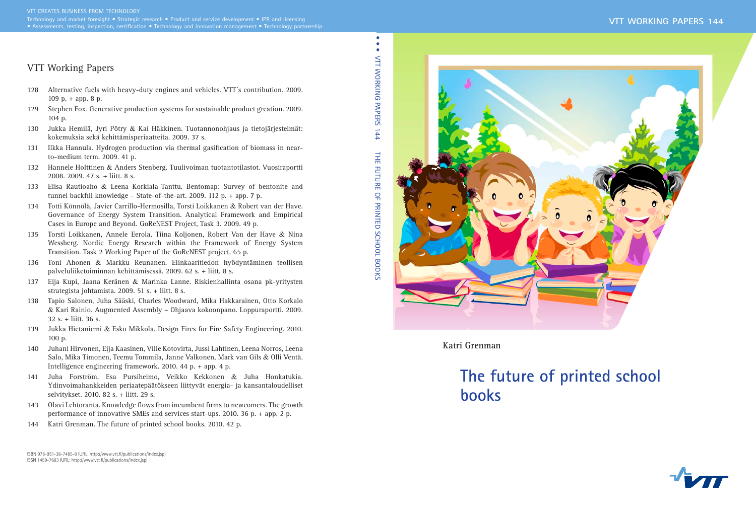

**Katri Grenman**

# **The future of printed school books**

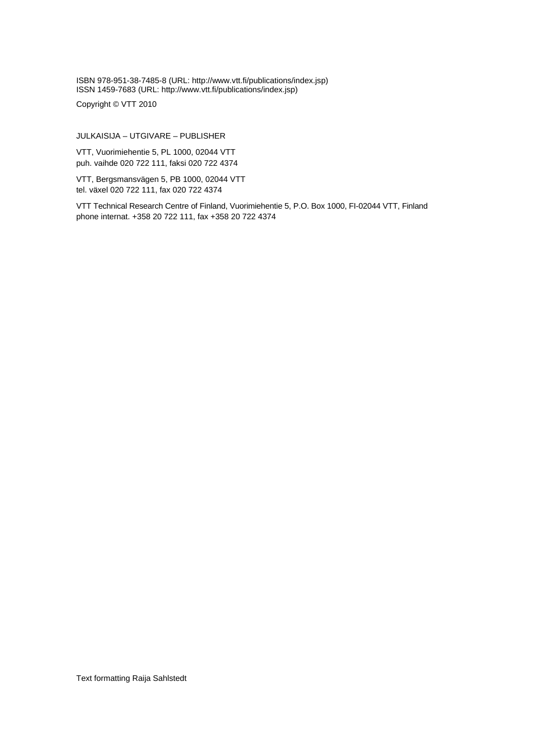ISBN 978-951-38-7485-8 (URL: [http://www.vtt.fi/publications/index.jsp\)](http://www.vtt.fi/publications/index.jsp) ISSN 1459-7683 (URL: [http://www.vtt.fi/publications/index.jsp\)](http://www.vtt.fi/publications/index.jsp)

Copyright © VTT 2010

JULKAISIJA – UTGIVARE – PUBLISHER

VTT, Vuorimiehentie 5, PL 1000, 02044 VTT puh. vaihde 020 722 111, faksi 020 722 4374

VTT, Bergsmansvägen 5, PB 1000, 02044 VTT tel. växel 020 722 111, fax 020 722 4374

VTT Technical Research Centre of Finland, Vuorimiehentie 5, P.O. Box 1000, FI-02044 VTT, Finland phone internat. +358 20 722 111, fax +358 20 722 4374

Text formatting Raija Sahlstedt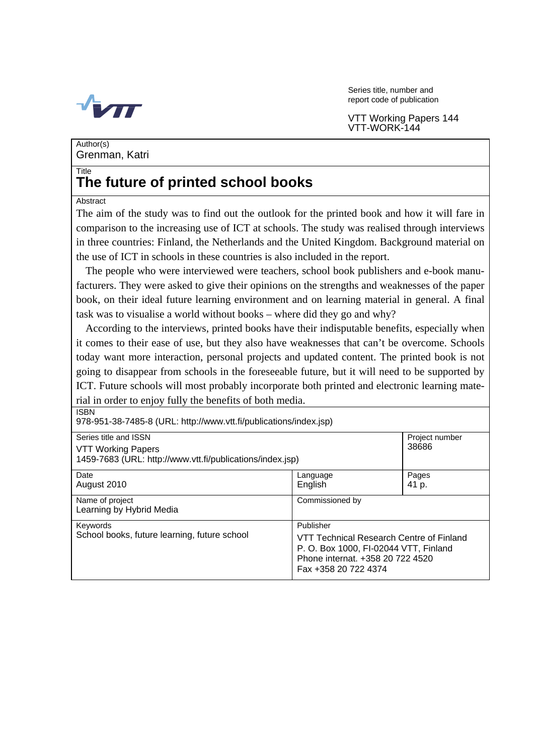

Series title, number and report code of publication

VTT Working Papers 144 VTT-WORK-144

Author(s) Grenman, Katri

## **Title The future of printed school books**

### Abstract

ISBN

The aim of the study was to find out the outlook for the printed book and how it will fare in comparison to the increasing use of ICT at schools. The study was realised through interviews in three countries: Finland, the Netherlands and the United Kingdom. Background material on the use of ICT in schools in these countries is also included in the report.

The people who were interviewed were teachers, school book publishers and e-book manufacturers. They were asked to give their opinions on the strengths and weaknesses of the paper book, on their ideal future learning environment and on learning material in general. A final task was to visualise a world without books – where did they go and why?

According to the interviews, printed books have their indisputable benefits, especially when it comes to their ease of use, but they also have weaknesses that can't be overcome. Schools today want more interaction, personal projects and updated content. The printed book is not going to disappear from schools in the foreseeable future, but it will need to be supported by ICT. Future schools will most probably incorporate both printed and electronic learning material in order to enjoy fully the benefits of both media.

978-951-38-7485-8 (URL: [http://www.vtt.fi/publications/index.jsp\)](http://www.vtt.fi/publications/index.jsp) Series title and ISSN Project number VTT Working Papers 1459-7683 (URL: [http://www.vtt.fi/publications/index.jsp\)](http://www.vtt.fi/publications/index.jsp) 38686 Date **Date Pages Pages Pages Pages Pages Pages** August 2010 **August 2010 English English** 41 p. Name of project and commissioned by Commissioned by Learning by Hybrid Media Keywords<br>
School books, future learning, future school<br>
VTT Terminal VTT Technical Research Centre of Finland P. O. Box 1000, FI-02044 VTT, Finland Phone internat. +358 20 722 4520 Fax +358 20 722 4374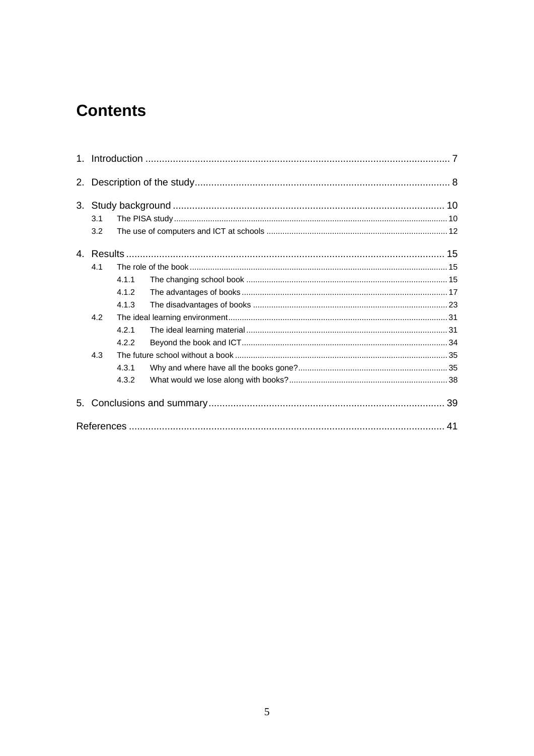## **Contents**

| 2. |     |       |  |  |  |  |
|----|-----|-------|--|--|--|--|
|    |     |       |  |  |  |  |
|    | 3.1 |       |  |  |  |  |
|    | 3.2 |       |  |  |  |  |
|    |     |       |  |  |  |  |
|    | 4.1 |       |  |  |  |  |
|    |     | 4.1.1 |  |  |  |  |
|    |     | 4.1.2 |  |  |  |  |
|    |     | 4.1.3 |  |  |  |  |
|    | 4.2 |       |  |  |  |  |
|    |     | 4.2.1 |  |  |  |  |
|    |     | 4.2.2 |  |  |  |  |
|    | 4.3 |       |  |  |  |  |
|    |     | 4.3.1 |  |  |  |  |
|    |     | 4.3.2 |  |  |  |  |
| 5. |     |       |  |  |  |  |
|    |     |       |  |  |  |  |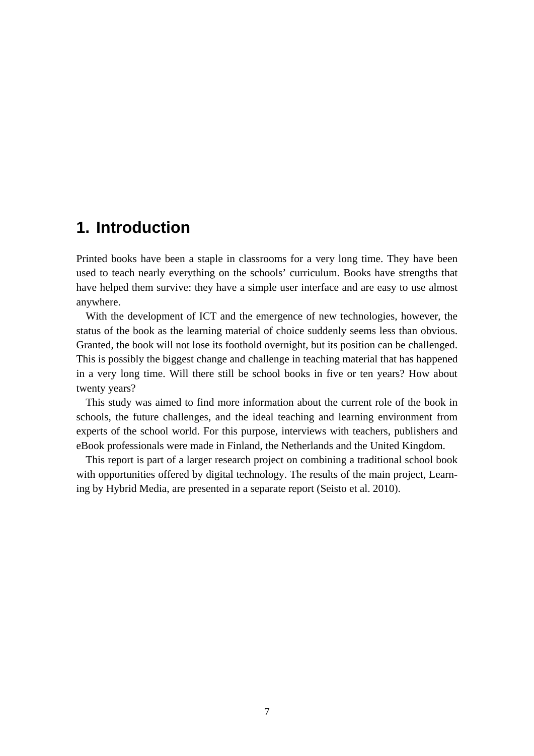## **1. Introduction**

Printed books have been a staple in classrooms for a very long time. They have been used to teach nearly everything on the schools' curriculum. Books have strengths that have helped them survive: they have a simple user interface and are easy to use almost anywhere.

With the development of ICT and the emergence of new technologies, however, the status of the book as the learning material of choice suddenly seems less than obvious. Granted, the book will not lose its foothold overnight, but its position can be challenged. This is possibly the biggest change and challenge in teaching material that has happened in a very long time. Will there still be school books in five or ten years? How about twenty years?

This study was aimed to find more information about the current role of the book in schools, the future challenges, and the ideal teaching and learning environment from experts of the school world. For this purpose, interviews with teachers, publishers and eBook professionals were made in Finland, the Netherlands and the United Kingdom.

This report is part of a larger research project on combining a traditional school book with opportunities offered by digital technology. The results of the main project, Learning by Hybrid Media, are presented in a separate report (Seisto et al. 2010).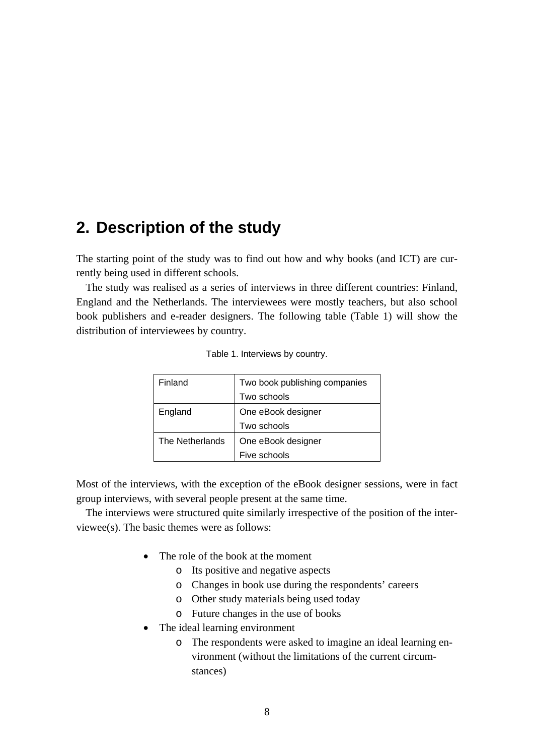## **2. Description of the study**

The starting point of the study was to find out how and why books (and ICT) are currently being used in different schools.

The study was realised as a series of interviews in three different countries: Finland, England and the Netherlands. The interviewees were mostly teachers, but also school book publishers and e-reader designers. The following table (Table 1) will show the distribution of interviewees by country.

| Finland         | Two book publishing companies |  |  |
|-----------------|-------------------------------|--|--|
|                 | Two schools                   |  |  |
| England         | One eBook designer            |  |  |
|                 | Two schools                   |  |  |
| The Netherlands | One eBook designer            |  |  |
|                 | Five schools                  |  |  |

|  |  | Table 1. Interviews by country. |  |  |
|--|--|---------------------------------|--|--|
|--|--|---------------------------------|--|--|

Most of the interviews, with the exception of the eBook designer sessions, were in fact group interviews, with several people present at the same time.

The interviews were structured quite similarly irrespective of the position of the interviewee(s). The basic themes were as follows:

- The role of the book at the moment
	- o Its positive and negative aspects
	- o Changes in book use during the respondents' careers
	- o Other study materials being used today
	- o Future changes in the use of books
- The ideal learning environment
	- o The respondents were asked to imagine an ideal learning environment (without the limitations of the current circumstances)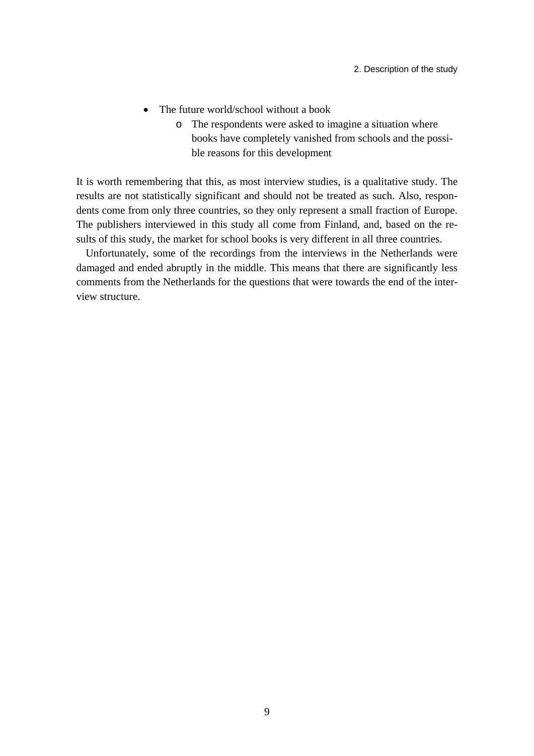- The future world/school without a book
	- o The respondents were asked to imagine a situation where books have completely vanished from schools and the possible reasons for this development

It is worth remembering that this, as most interview studies, is a qualitative study. The results are not statistically significant and should not be treated as such. Also, respondents come from only three countries, so they only represent a small fraction of Europe. The publishers interviewed in this study all come from Finland, and, based on the results of this study, the market for school books is very different in all three countries.

Unfortunately, some of the recordings from the interviews in the Netherlands were damaged and ended abruptly in the middle. This means that there are significantly less comments from the Netherlands for the questions that were towards the end of the interview structure.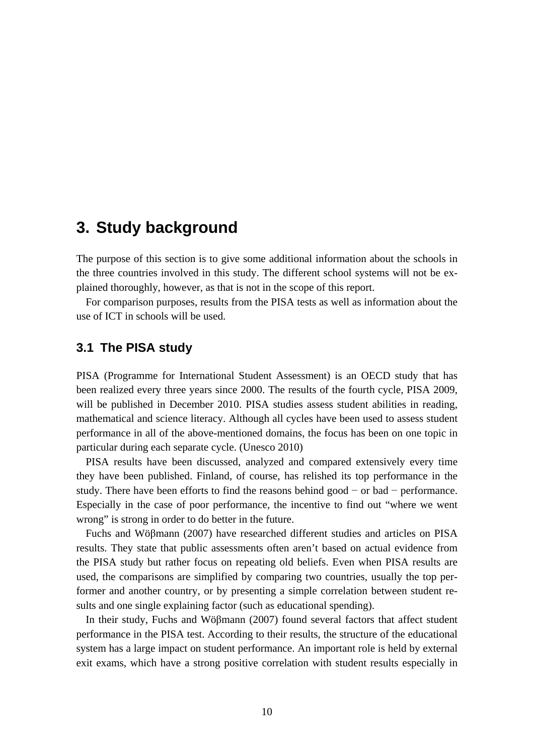## **3. Study background**

The purpose of this section is to give some additional information about the schools in the three countries involved in this study. The different school systems will not be explained thoroughly, however, as that is not in the scope of this report.

For comparison purposes, results from the PISA tests as well as information about the use of ICT in schools will be used.

## **3.1 The PISA study**

PISA (Programme for International Student Assessment) is an OECD study that has been realized every three years since 2000. The results of the fourth cycle, PISA 2009, will be published in December 2010. PISA studies assess student abilities in reading, mathematical and science literacy. Although all cycles have been used to assess student performance in all of the above-mentioned domains, the focus has been on one topic in particular during each separate cycle. (Unesco 2010)

PISA results have been discussed, analyzed and compared extensively every time they have been published. Finland, of course, has relished its top performance in the study. There have been efforts to find the reasons behind good − or bad − performance. Especially in the case of poor performance, the incentive to find out "where we went wrong" is strong in order to do better in the future.

Fuchs and Wöβmann (2007) have researched different studies and articles on PISA results. They state that public assessments often aren't based on actual evidence from the PISA study but rather focus on repeating old beliefs. Even when PISA results are used, the comparisons are simplified by comparing two countries, usually the top performer and another country, or by presenting a simple correlation between student results and one single explaining factor (such as educational spending).

In their study, Fuchs and Wöβmann (2007) found several factors that affect student performance in the PISA test. According to their results, the structure of the educational system has a large impact on student performance. An important role is held by external exit exams, which have a strong positive correlation with student results especially in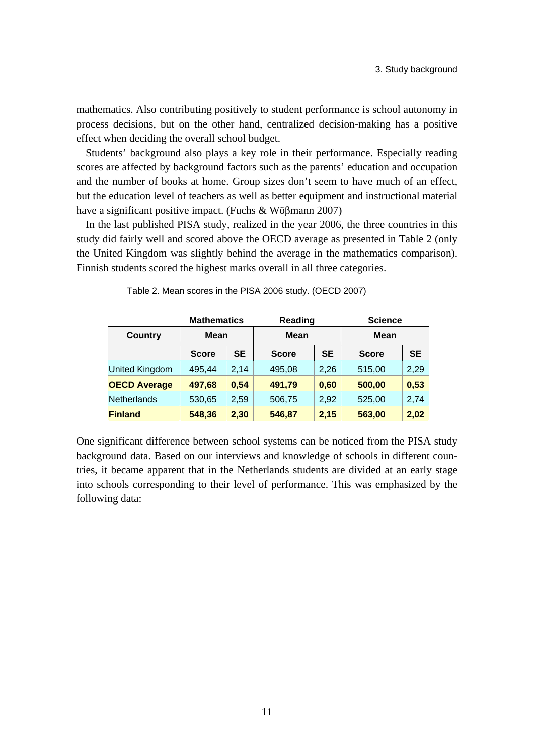mathematics. Also contributing positively to student performance is school autonomy in process decisions, but on the other hand, centralized decision-making has a positive effect when deciding the overall school budget.

Students' background also plays a key role in their performance. Especially reading scores are affected by background factors such as the parents' education and occupation and the number of books at home. Group sizes don't seem to have much of an effect, but the education level of teachers as well as better equipment and instructional material have a significant positive impact. (Fuchs & Wöβmann 2007)

In the last published PISA study, realized in the year 2006, the three countries in this study did fairly well and scored above the OECD average as presented in Table 2 (only the United Kingdom was slightly behind the average in the mathematics comparison). Finnish students scored the highest marks overall in all three categories.

| <b>Mathematics</b>    |              | Reading   |              | <b>Science</b> |              |           |
|-----------------------|--------------|-----------|--------------|----------------|--------------|-----------|
| <b>Country</b>        | <b>Mean</b>  |           | <b>Mean</b>  |                | <b>Mean</b>  |           |
|                       | <b>Score</b> | <b>SE</b> | <b>Score</b> | <b>SE</b>      | <b>Score</b> | <b>SE</b> |
| <b>United Kingdom</b> | 495,44       | 2,14      | 495,08       | 2,26           | 515,00       | 2,29      |
| <b>OECD Average</b>   | 497,68       | 0,54      | 491,79       | 0,60           | 500,00       | 0,53      |
| Netherlands           | 530,65       | 2,59      | 506,75       | 2,92           | 525,00       | 2,74      |
| <b>Finland</b>        | 548,36       | 2,30      | 546,87       | 2,15           | 563,00       | 2,02      |

Table 2. Mean scores in the PISA 2006 study. (OECD 2007)

One significant difference between school systems can be noticed from the PISA study background data. Based on our interviews and knowledge of schools in different countries, it became apparent that in the Netherlands students are divided at an early stage into schools corresponding to their level of performance. This was emphasized by the following data: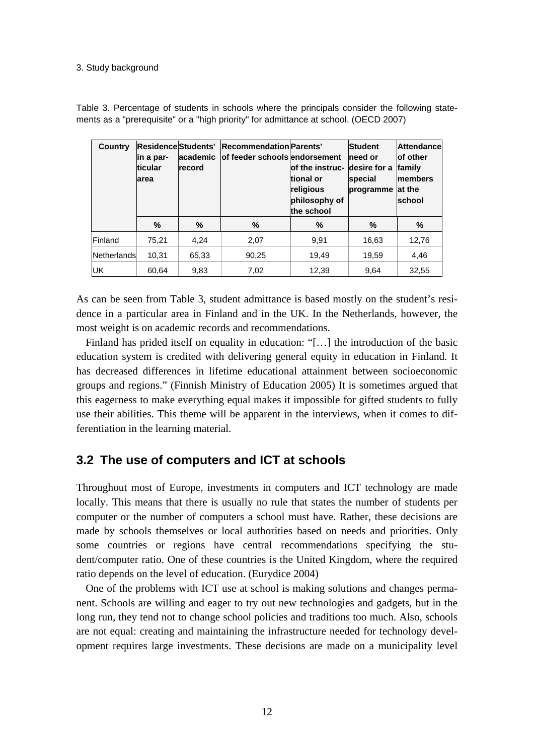#### 3. Study background

| Country     | lin a par-<br><b>ticular</b><br>larea | lacademic<br><b>record</b> | Residence Students' Recommendation Parents'<br>lof feeder schools endorsement | lof the instruc- Idesire for a<br>tional or<br>religious<br>philosophy of<br>the school | <b>Student</b><br>Ineed or<br>special<br>programme | <b>Attendance</b><br>of other<br>family<br><b>Imembers</b><br>lat the<br>school |
|-------------|---------------------------------------|----------------------------|-------------------------------------------------------------------------------|-----------------------------------------------------------------------------------------|----------------------------------------------------|---------------------------------------------------------------------------------|
|             | ℅                                     | %                          | %                                                                             | %                                                                                       | ℅                                                  | %                                                                               |
| Finland     | 75,21                                 | 4.24                       | 2,07                                                                          | 9.91                                                                                    | 16,63                                              | 12,76                                                                           |
| Netherlands | 10,31                                 | 65,33                      | 90,25                                                                         | 19,49                                                                                   | 19,59                                              | 4,46                                                                            |
| UK          | 60,64                                 | 9,83                       | 7,02                                                                          | 12,39                                                                                   | 9,64                                               | 32,55                                                                           |

Table 3. Percentage of students in schools where the principals consider the following statements as a "prerequisite" or a "high priority" for admittance at school. (OECD 2007)

As can be seen from Table 3, student admittance is based mostly on the student's residence in a particular area in Finland and in the UK. In the Netherlands, however, the most weight is on academic records and recommendations.

Finland has prided itself on equality in education: "[…] the introduction of the basic education system is credited with delivering general equity in education in Finland. It has decreased differences in lifetime educational attainment between socioeconomic groups and regions." (Finnish Ministry of Education 2005) It is sometimes argued that this eagerness to make everything equal makes it impossible for gifted students to fully use their abilities. This theme will be apparent in the interviews, when it comes to differentiation in the learning material.

## **3.2 The use of computers and ICT at schools**

Throughout most of Europe, investments in computers and ICT technology are made locally. This means that there is usually no rule that states the number of students per computer or the number of computers a school must have. Rather, these decisions are made by schools themselves or local authorities based on needs and priorities. Only some countries or regions have central recommendations specifying the student/computer ratio. One of these countries is the United Kingdom, where the required ratio depends on the level of education. (Eurydice 2004)

One of the problems with ICT use at school is making solutions and changes permanent. Schools are willing and eager to try out new technologies and gadgets, but in the long run, they tend not to change school policies and traditions too much. Also, schools are not equal: creating and maintaining the infrastructure needed for technology development requires large investments. These decisions are made on a municipality level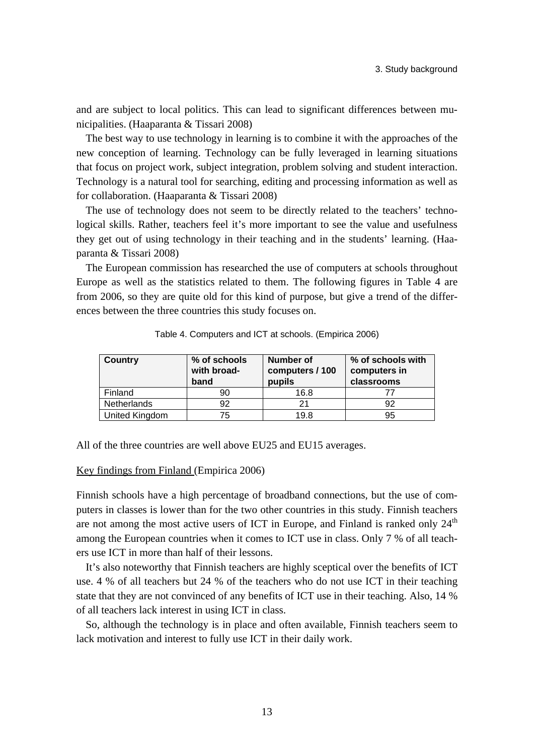and are subject to local politics. This can lead to significant differences between municipalities. (Haaparanta & Tissari 2008)

The best way to use technology in learning is to combine it with the approaches of the new conception of learning. Technology can be fully leveraged in learning situations that focus on project work, subject integration, problem solving and student interaction. Technology is a natural tool for searching, editing and processing information as well as for collaboration. (Haaparanta & Tissari 2008)

The use of technology does not seem to be directly related to the teachers' technological skills. Rather, teachers feel it's more important to see the value and usefulness they get out of using technology in their teaching and in the students' learning. (Haaparanta & Tissari 2008)

The European commission has researched the use of computers at schools throughout Europe as well as the statistics related to them. The following figures in Table 4 are from 2006, so they are quite old for this kind of purpose, but give a trend of the differences between the three countries this study focuses on.

| <b>Country</b> | % of schools<br>with broad-<br>band | Number of<br>computers / 100<br>pupils | % of schools with<br>computers in<br>classrooms |
|----------------|-------------------------------------|----------------------------------------|-------------------------------------------------|
| Finland        | 90                                  | 16.8                                   |                                                 |
| Netherlands    | 92                                  | 21                                     | 92                                              |
| United Kingdom | 75                                  | 19.8                                   | 95                                              |

Table 4. Computers and ICT at schools. (Empirica 2006)

All of the three countries are well above EU25 and EU15 averages.

### Key findings from Finland (Empirica 2006)

Finnish schools have a high percentage of broadband connections, but the use of computers in classes is lower than for the two other countries in this study. Finnish teachers are not among the most active users of ICT in Europe, and Finland is ranked only  $24<sup>th</sup>$ among the European countries when it comes to ICT use in class. Only 7 % of all teachers use ICT in more than half of their lessons.

It's also noteworthy that Finnish teachers are highly sceptical over the benefits of ICT use. 4 % of all teachers but 24 % of the teachers who do not use ICT in their teaching state that they are not convinced of any benefits of ICT use in their teaching. Also, 14 % of all teachers lack interest in using ICT in class.

So, although the technology is in place and often available, Finnish teachers seem to lack motivation and interest to fully use ICT in their daily work.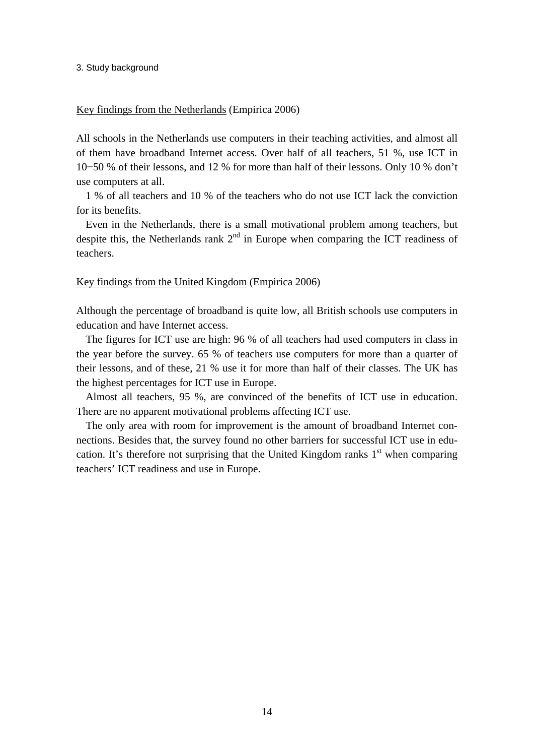#### 3. Study background

### Key findings from the Netherlands (Empirica 2006)

All schools in the Netherlands use computers in their teaching activities, and almost all of them have broadband Internet access. Over half of all teachers, 51 %, use ICT in 10−50 % of their lessons, and 12 % for more than half of their lessons. Only 10 % don't use computers at all.

1 % of all teachers and 10 % of the teachers who do not use ICT lack the conviction for its benefits.

Even in the Netherlands, there is a small motivational problem among teachers, but despite this, the Netherlands rank  $2<sup>nd</sup>$  in Europe when comparing the ICT readiness of teachers.

### Key findings from the United Kingdom (Empirica 2006)

Although the percentage of broadband is quite low, all British schools use computers in education and have Internet access.

The figures for ICT use are high: 96 % of all teachers had used computers in class in the year before the survey. 65 % of teachers use computers for more than a quarter of their lessons, and of these, 21 % use it for more than half of their classes. The UK has the highest percentages for ICT use in Europe.

Almost all teachers, 95 %, are convinced of the benefits of ICT use in education. There are no apparent motivational problems affecting ICT use.

The only area with room for improvement is the amount of broadband Internet connections. Besides that, the survey found no other barriers for successful ICT use in education. It's therefore not surprising that the United Kingdom ranks  $1<sup>st</sup>$  when comparing teachers' ICT readiness and use in Europe.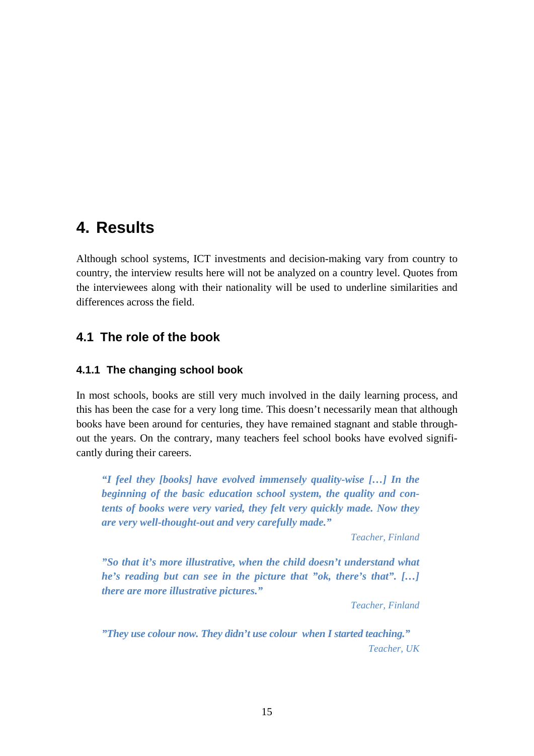Although school systems, ICT investments and decision-making vary from country to country, the interview results here will not be analyzed on a country level. Quotes from the interviewees along with their nationality will be used to underline similarities and differences across the field.

## **4.1 The role of the book**

## **4.1.1 The changing school book**

In most schools, books are still very much involved in the daily learning process, and this has been the case for a very long time. This doesn't necessarily mean that although books have been around for centuries, they have remained stagnant and stable throughout the years. On the contrary, many teachers feel school books have evolved significantly during their careers.

*"I feel they [books] have evolved immensely quality-wise […] In the beginning of the basic education school system, the quality and contents of books were very varied, they felt very quickly made. Now they are very well-thought-out and very carefully made."* 

*Teacher, Finland* 

*"So that it's more illustrative, when the child doesn't understand what he's reading but can see in the picture that "ok, there's that". […] there are more illustrative pictures."* 

*Teacher, Finland* 

*"They use colour now. They didn't use colour when I started teaching." Teacher, UK*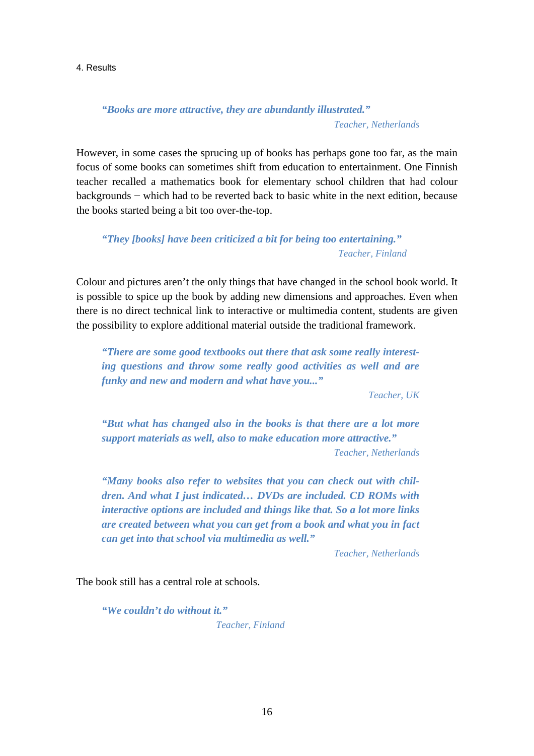*"Books are more attractive, they are abundantly illustrated." Teacher, Netherlands* 

However, in some cases the sprucing up of books has perhaps gone too far, as the main focus of some books can sometimes shift from education to entertainment. One Finnish teacher recalled a mathematics book for elementary school children that had colour backgrounds − which had to be reverted back to basic white in the next edition, because the books started being a bit too over-the-top.

*"They [books] have been criticized a bit for being too entertaining." Teacher, Finland* 

Colour and pictures aren't the only things that have changed in the school book world. It is possible to spice up the book by adding new dimensions and approaches. Even when there is no direct technical link to interactive or multimedia content, students are given the possibility to explore additional material outside the traditional framework.

*"There are some good textbooks out there that ask some really interesting questions and throw some really good activities as well and are funky and new and modern and what have you..."* 

*Teacher, UK* 

*"But what has changed also in the books is that there are a lot more support materials as well, also to make education more attractive." Teacher, Netherlands* 

*"Many books also refer to websites that you can check out with children. And what I just indicated… DVDs are included. CD ROMs with interactive options are included and things like that. So a lot more links are created between what you can get from a book and what you in fact can get into that school via multimedia as well."* 

*Teacher, Netherlands* 

The book still has a central role at schools.

*"We couldn't do without it." Teacher, Finland*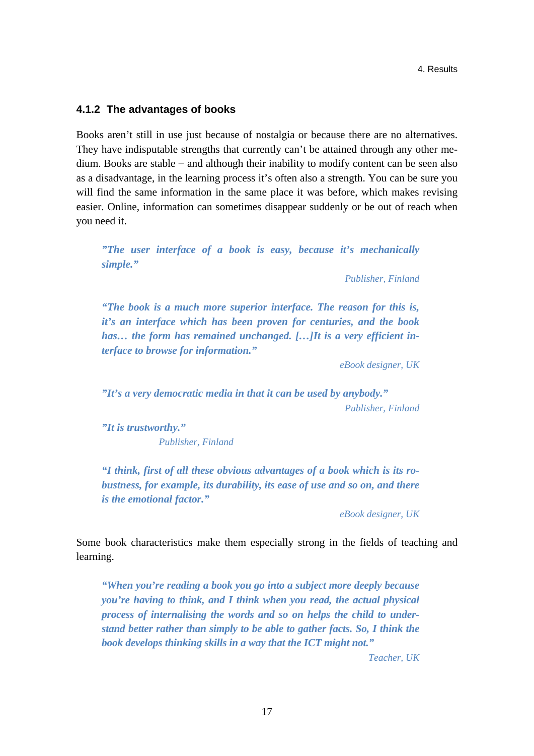## **4.1.2 The advantages of books**

Books aren't still in use just because of nostalgia or because there are no alternatives. They have indisputable strengths that currently can't be attained through any other medium. Books are stable − and although their inability to modify content can be seen also as a disadvantage, in the learning process it's often also a strength. You can be sure you will find the same information in the same place it was before, which makes revising easier. Online, information can sometimes disappear suddenly or be out of reach when you need it.

*"The user interface of a book is easy, because it's mechanically simple."* 

*Publisher, Finland* 

*"The book is a much more superior interface. The reason for this is, it's an interface which has been proven for centuries, and the book has… the form has remained unchanged. […]It is a very efficient interface to browse for information."* 

*eBook designer, UK* 

*"It's a very democratic media in that it can be used by anybody." Publisher, Finland* 

*"It is trustworthy." Publisher, Finland* 

*"I think, first of all these obvious advantages of a book which is its robustness, for example, its durability, its ease of use and so on, and there is the emotional factor."* 

*eBook designer, UK* 

Some book characteristics make them especially strong in the fields of teaching and learning.

*"When you're reading a book you go into a subject more deeply because you're having to think, and I think when you read, the actual physical process of internalising the words and so on helps the child to understand better rather than simply to be able to gather facts. So, I think the book develops thinking skills in a way that the ICT might not."* 

*Teacher, UK*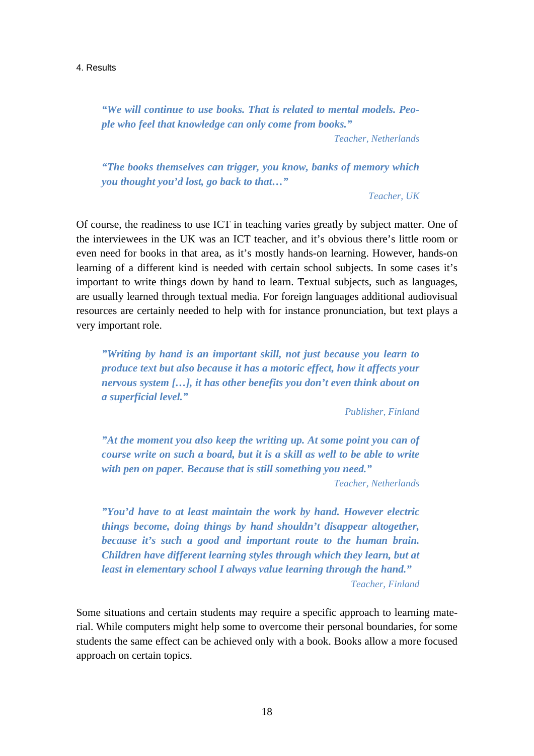*"We will continue to use books. That is related to mental models. People who feel that knowledge can only come from books."* 

*Teacher, Netherlands* 

*"The books themselves can trigger, you know, banks of memory which you thought you'd lost, go back to that…"* 

*Teacher, UK* 

Of course, the readiness to use ICT in teaching varies greatly by subject matter. One of the interviewees in the UK was an ICT teacher, and it's obvious there's little room or even need for books in that area, as it's mostly hands-on learning. However, hands-on learning of a different kind is needed with certain school subjects. In some cases it's important to write things down by hand to learn. Textual subjects, such as languages, are usually learned through textual media. For foreign languages additional audiovisual resources are certainly needed to help with for instance pronunciation, but text plays a very important role.

*"Writing by hand is an important skill, not just because you learn to produce text but also because it has a motoric effect, how it affects your nervous system […], it has other benefits you don't even think about on a superficial level."* 

*Publisher, Finland* 

*"At the moment you also keep the writing up. At some point you can of course write on such a board, but it is a skill as well to be able to write with pen on paper. Because that is still something you need."* 

*Teacher, Netherlands* 

*"You'd have to at least maintain the work by hand. However electric things become, doing things by hand shouldn't disappear altogether, because it's such a good and important route to the human brain. Children have different learning styles through which they learn, but at least in elementary school I always value learning through the hand." Teacher, Finland* 

Some situations and certain students may require a specific approach to learning material. While computers might help some to overcome their personal boundaries, for some students the same effect can be achieved only with a book. Books allow a more focused approach on certain topics.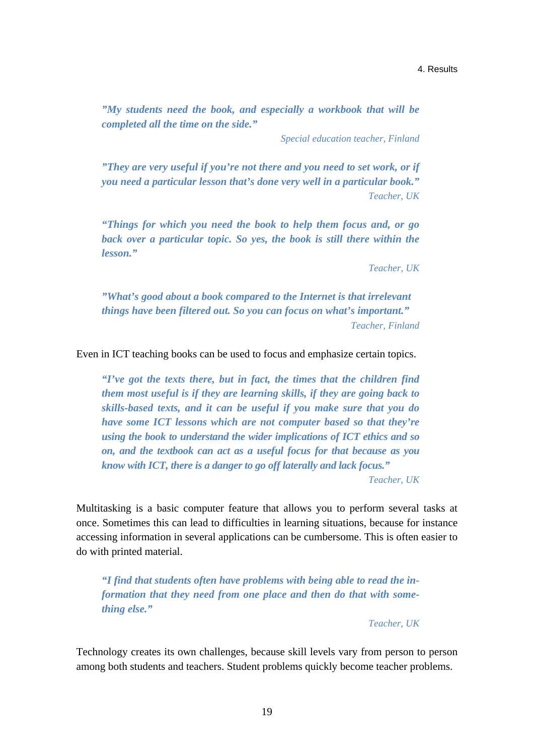*"My students need the book, and especially a workbook that will be completed all the time on the side."* 

*Special education teacher, Finland* 

*"They are very useful if you're not there and you need to set work, or if you need a particular lesson that's done very well in a particular book." Teacher, UK* 

*"Things for which you need the book to help them focus and, or go back over a particular topic. So yes, the book is still there within the lesson."* 

*Teacher, UK* 

*"What's good about a book compared to the Internet is that irrelevant things have been filtered out. So you can focus on what's important." Teacher, Finland* 

Even in ICT teaching books can be used to focus and emphasize certain topics.

*"I've got the texts there, but in fact, the times that the children find them most useful is if they are learning skills, if they are going back to skills-based texts, and it can be useful if you make sure that you do have some ICT lessons which are not computer based so that they're using the book to understand the wider implications of ICT ethics and so on, and the textbook can act as a useful focus for that because as you know with ICT, there is a danger to go off laterally and lack focus."* 

*Teacher, UK* 

Multitasking is a basic computer feature that allows you to perform several tasks at once. Sometimes this can lead to difficulties in learning situations, because for instance accessing information in several applications can be cumbersome. This is often easier to do with printed material.

*"I find that students often have problems with being able to read the information that they need from one place and then do that with something else."* 

*Teacher, UK* 

Technology creates its own challenges, because skill levels vary from person to person among both students and teachers. Student problems quickly become teacher problems.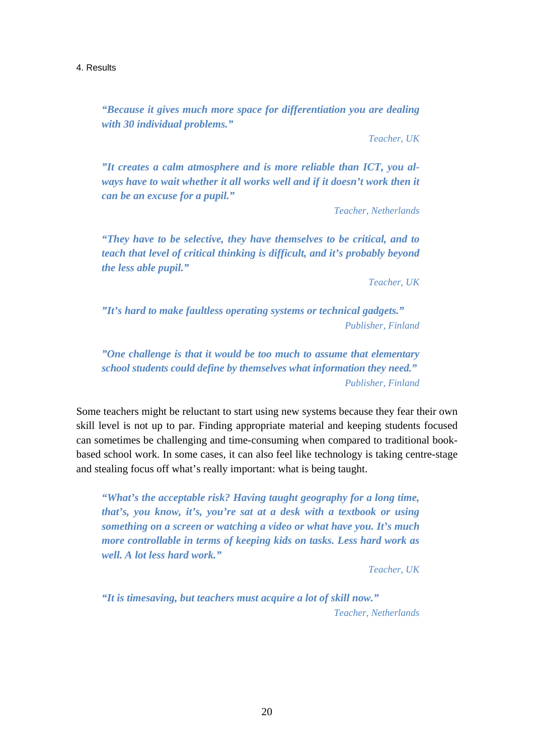*"Because it gives much more space for differentiation you are dealing with 30 individual problems."* 

*Teacher, UK* 

*"It creates a calm atmosphere and is more reliable than ICT, you al*ways have to wait whether it all works well and if it doesn't work then it *can be an excuse for a pupil."* 

*Teacher, Netherlands* 

*"They have to be selective, they have themselves to be critical, and to teach that level of critical thinking is difficult, and it's probably beyond the less able pupil."* 

*Teacher, UK* 

*"It's hard to make faultless operating systems or technical gadgets." Publisher, Finland* 

*"One challenge is that it would be too much to assume that elementary school students could define by themselves what information they need." Publisher, Finland* 

Some teachers might be reluctant to start using new systems because they fear their own skill level is not up to par. Finding appropriate material and keeping students focused can sometimes be challenging and time-consuming when compared to traditional bookbased school work. In some cases, it can also feel like technology is taking centre-stage and stealing focus off what's really important: what is being taught.

*"What's the acceptable risk? Having taught geography for a long time, that's, you know, it's, you're sat at a desk with a textbook or using something on a screen or watching a video or what have you. It's much more controllable in terms of keeping kids on tasks. Less hard work as well. A lot less hard work."* 

*Teacher, UK* 

*"It is timesaving, but teachers must acquire a lot of skill now." Teacher, Netherlands*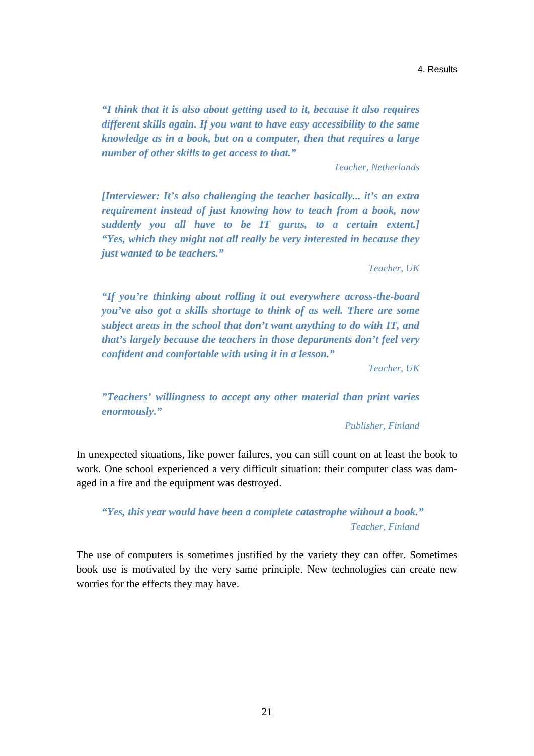*"I think that it is also about getting used to it, because it also requires different skills again. If you want to have easy accessibility to the same knowledge as in a book, but on a computer, then that requires a large number of other skills to get access to that."* 

*Teacher, Netherlands* 

*[Interviewer: It's also challenging the teacher basically... it's an extra requirement instead of just knowing how to teach from a book, now suddenly you all have to be IT gurus, to a certain extent.] "Yes, which they might not all really be very interested in because they just wanted to be teachers."* 

*Teacher, UK* 

*"If you're thinking about rolling it out everywhere across-the-board you've also got a skills shortage to think of as well. There are some subject areas in the school that don't want anything to do with IT, and that's largely because the teachers in those departments don't feel very confident and comfortable with using it in a lesson."* 

*Teacher, UK* 

*"Teachers' willingness to accept any other material than print varies enormously."* 

*Publisher, Finland* 

In unexpected situations, like power failures, you can still count on at least the book to work. One school experienced a very difficult situation: their computer class was damaged in a fire and the equipment was destroyed.

## *"Yes, this year would have been a complete catastrophe without a book." Teacher, Finland*

The use of computers is sometimes justified by the variety they can offer. Sometimes book use is motivated by the very same principle. New technologies can create new worries for the effects they may have.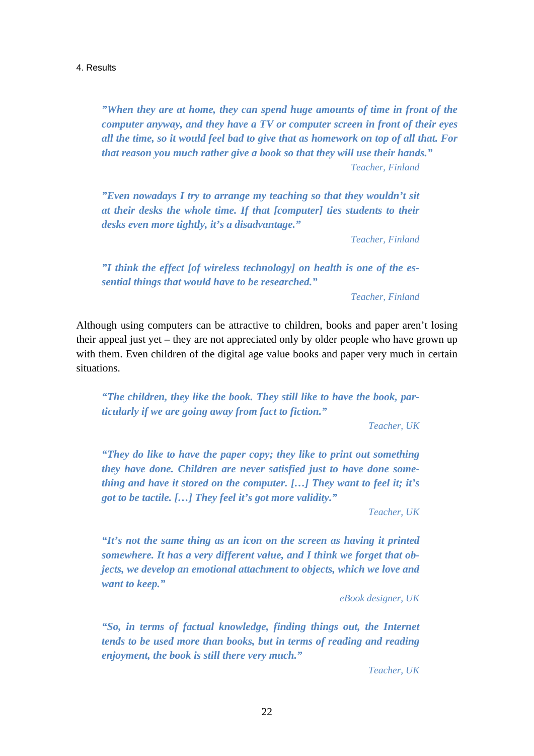*"When they are at home, they can spend huge amounts of time in front of the computer anyway, and they have a TV or computer screen in front of their eyes all the time, so it would feel bad to give that as homework on top of all that. For that reason you much rather give a book so that they will use their hands." Teacher, Finland* 

*"Even nowadays I try to arrange my teaching so that they wouldn't sit at their desks the whole time. If that [computer] ties students to their desks even more tightly, it's a disadvantage."* 

*Teacher, Finland* 

*"I think the effect [of wireless technology] on health is one of the essential things that would have to be researched."* 

*Teacher, Finland* 

Although using computers can be attractive to children, books and paper aren't losing their appeal just yet – they are not appreciated only by older people who have grown up with them. Even children of the digital age value books and paper very much in certain situations.

*"The children, they like the book. They still like to have the book, particularly if we are going away from fact to fiction."* 

*Teacher, UK* 

*"They do like to have the paper copy; they like to print out something they have done. Children are never satisfied just to have done something and have it stored on the computer. […] They want to feel it; it's got to be tactile. […] They feel it's got more validity."* 

*Teacher, UK* 

*"It's not the same thing as an icon on the screen as having it printed somewhere. It has a very different value, and I think we forget that objects, we develop an emotional attachment to objects, which we love and want to keep."* 

*eBook designer, UK* 

*"So, in terms of factual knowledge, finding things out, the Internet tends to be used more than books, but in terms of reading and reading enjoyment, the book is still there very much."* 

*Teacher, UK*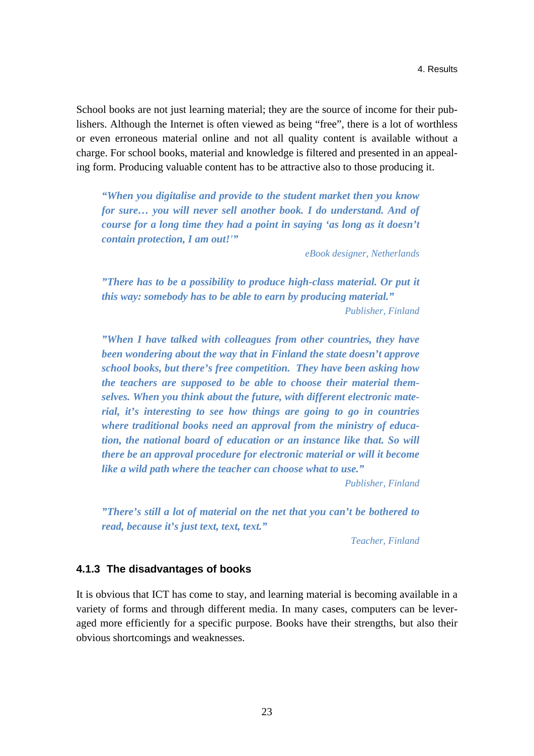School books are not just learning material; they are the source of income for their publishers. Although the Internet is often viewed as being "free", there is a lot of worthless or even erroneous material online and not all quality content is available without a charge. For school books, material and knowledge is filtered and presented in an appealing form. Producing valuable content has to be attractive also to those producing it.

*"When you digitalise and provide to the student market then you know for sure… you will never sell another book. I do understand. And of course for a long time they had a point in saying 'as long as it doesn't contain protection, I am out!'"* 

*eBook designer, Netherlands* 

*"There has to be a possibility to produce high-class material. Or put it this way: somebody has to be able to earn by producing material." Publisher, Finland* 

*"When I have talked with colleagues from other countries, they have been wondering about the way that in Finland the state doesn't approve school books, but there's free competition. They have been asking how the teachers are supposed to be able to choose their material themselves. When you think about the future, with different electronic material, it's interesting to see how things are going to go in countries where traditional books need an approval from the ministry of education, the national board of education or an instance like that. So will there be an approval procedure for electronic material or will it become like a wild path where the teacher can choose what to use."* 

*Publisher, Finland* 

*"There's still a lot of material on the net that you can't be bothered to read, because it's just text, text, text."* 

*Teacher, Finland* 

### **4.1.3 The disadvantages of books**

It is obvious that ICT has come to stay, and learning material is becoming available in a variety of forms and through different media. In many cases, computers can be leveraged more efficiently for a specific purpose. Books have their strengths, but also their obvious shortcomings and weaknesses.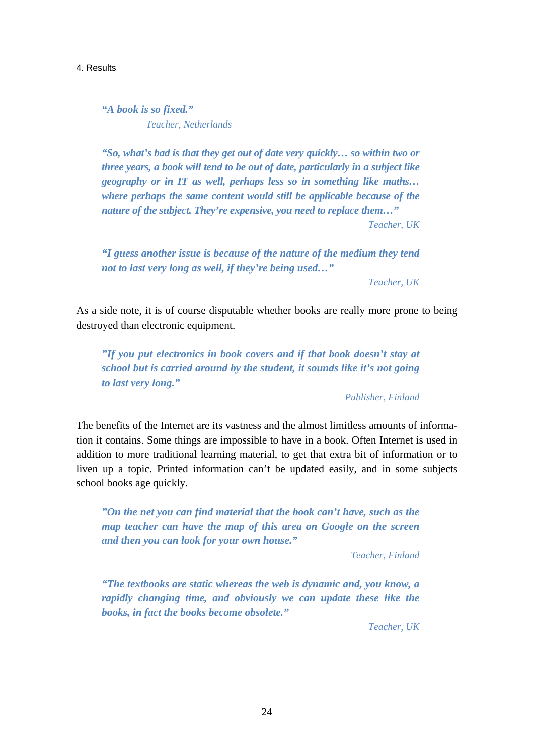*"A book is so fixed." Teacher, Netherlands* 

*"So, what's bad is that they get out of date very quickly… so within two or three years, a book will tend to be out of date, particularly in a subject like geography or in IT as well, perhaps less so in something like maths… where perhaps the same content would still be applicable because of the nature of the subject. They're expensive, you need to replace them…" Teacher, UK* 

*"I guess another issue is because of the nature of the medium they tend not to last very long as well, if they're being used…"* 

*Teacher, UK* 

As a side note, it is of course disputable whether books are really more prone to being destroyed than electronic equipment.

*"If you put electronics in book covers and if that book doesn't stay at school but is carried around by the student, it sounds like it's not going to last very long."* 

#### *Publisher, Finland*

The benefits of the Internet are its vastness and the almost limitless amounts of information it contains. Some things are impossible to have in a book. Often Internet is used in addition to more traditional learning material, to get that extra bit of information or to liven up a topic. Printed information can't be updated easily, and in some subjects school books age quickly.

*"On the net you can find material that the book can't have, such as the map teacher can have the map of this area on Google on the screen and then you can look for your own house."* 

*Teacher, Finland* 

*"The textbooks are static whereas the web is dynamic and, you know, a rapidly changing time, and obviously we can update these like the books, in fact the books become obsolete."* 

*Teacher, UK*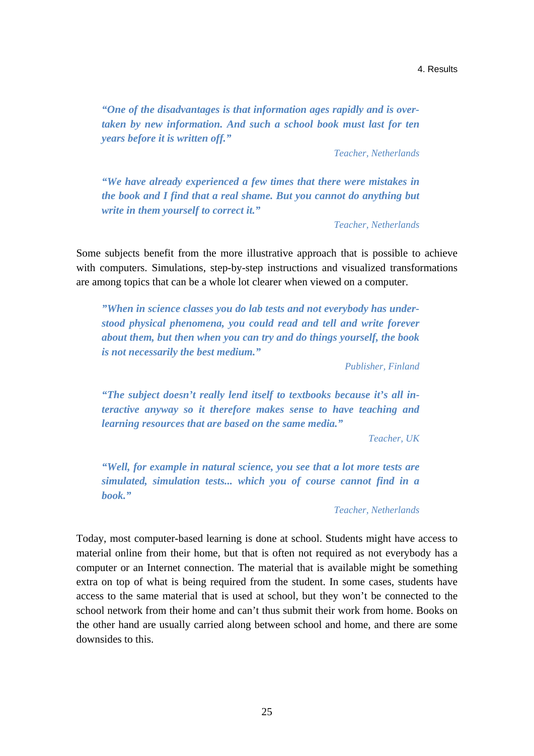*"One of the disadvantages is that information ages rapidly and is overtaken by new information. And such a school book must last for ten years before it is written off."* 

*Teacher, Netherlands* 

*"We have already experienced a few times that there were mistakes in the book and I find that a real shame. But you cannot do anything but write in them yourself to correct it."* 

*Teacher, Netherlands* 

Some subjects benefit from the more illustrative approach that is possible to achieve with computers. Simulations, step-by-step instructions and visualized transformations are among topics that can be a whole lot clearer when viewed on a computer.

*"When in science classes you do lab tests and not everybody has understood physical phenomena, you could read and tell and write forever about them, but then when you can try and do things yourself, the book is not necessarily the best medium."* 

*Publisher, Finland* 

*"The subject doesn't really lend itself to textbooks because it's all interactive anyway so it therefore makes sense to have teaching and learning resources that are based on the same media."* 

*Teacher, UK* 

*"Well, for example in natural science, you see that a lot more tests are simulated, simulation tests... which you of course cannot find in a book."* 

*Teacher, Netherlands* 

Today, most computer-based learning is done at school. Students might have access to material online from their home, but that is often not required as not everybody has a computer or an Internet connection. The material that is available might be something extra on top of what is being required from the student. In some cases, students have access to the same material that is used at school, but they won't be connected to the school network from their home and can't thus submit their work from home. Books on the other hand are usually carried along between school and home, and there are some downsides to this.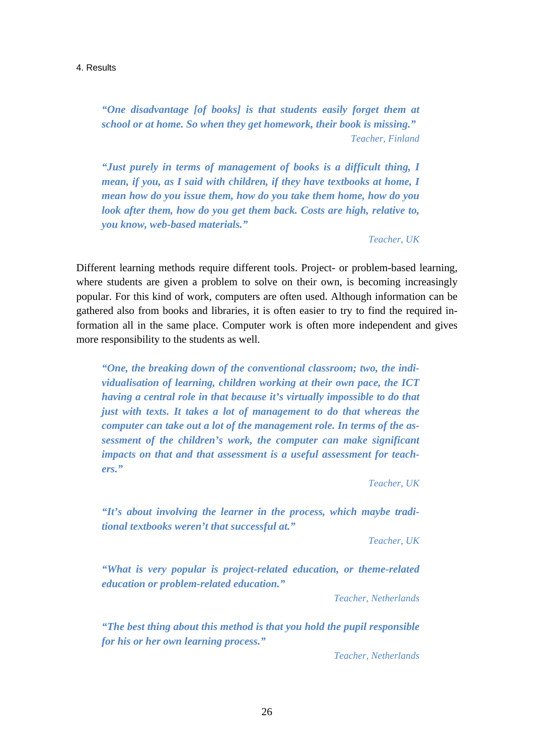*"One disadvantage [of books] is that students easily forget them at school or at home. So when they get homework, their book is missing." Teacher, Finland* 

*"Just purely in terms of management of books is a difficult thing, I mean, if you, as I said with children, if they have textbooks at home, I mean how do you issue them, how do you take them home, how do you look after them, how do you get them back. Costs are high, relative to, you know, web-based materials."* 

*Teacher, UK* 

Different learning methods require different tools. Project- or problem-based learning, where students are given a problem to solve on their own, is becoming increasingly popular. For this kind of work, computers are often used. Although information can be gathered also from books and libraries, it is often easier to try to find the required information all in the same place. Computer work is often more independent and gives more responsibility to the students as well.

*"One, the breaking down of the conventional classroom; two, the individualisation of learning, children working at their own pace, the ICT having a central role in that because it's virtually impossible to do that just with texts. It takes a lot of management to do that whereas the computer can take out a lot of the management role. In terms of the assessment of the children's work, the computer can make significant impacts on that and that assessment is a useful assessment for teachers."* 

*Teacher, UK* 

*"It's about involving the learner in the process, which maybe traditional textbooks weren't that successful at."* 

*Teacher, UK* 

*"What is very popular is project-related education, or theme-related education or problem-related education."* 

*Teacher, Netherlands* 

*"The best thing about this method is that you hold the pupil responsible for his or her own learning process."* 

*Teacher, Netherlands*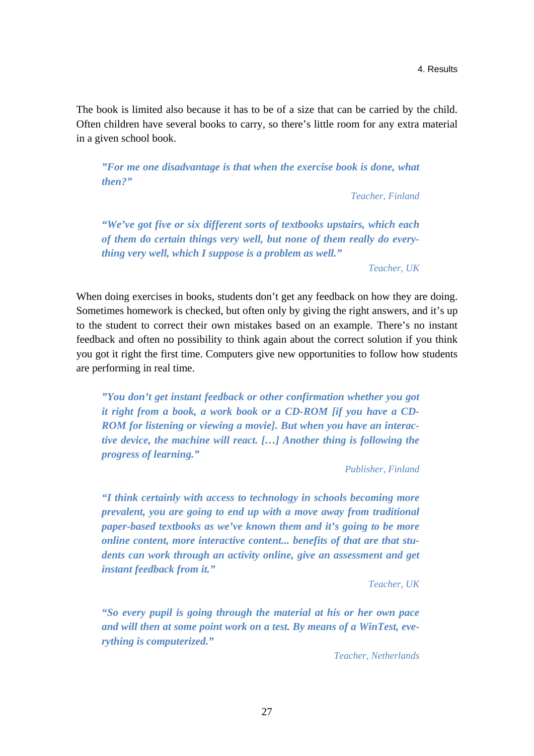The book is limited also because it has to be of a size that can be carried by the child. Often children have several books to carry, so there's little room for any extra material in a given school book.

*"For me one disadvantage is that when the exercise book is done, what then?"* 

*Teacher, Finland* 

*"We've got five or six different sorts of textbooks upstairs, which each of them do certain things very well, but none of them really do everything very well, which I suppose is a problem as well."* 

*Teacher, UK* 

When doing exercises in books, students don't get any feedback on how they are doing. Sometimes homework is checked, but often only by giving the right answers, and it's up to the student to correct their own mistakes based on an example. There's no instant feedback and often no possibility to think again about the correct solution if you think you got it right the first time. Computers give new opportunities to follow how students are performing in real time.

*"You don't get instant feedback or other confirmation whether you got it right from a book, a work book or a CD-ROM [if you have a CD-ROM for listening or viewing a movie]. But when you have an interactive device, the machine will react. […] Another thing is following the progress of learning."* 

*Publisher, Finland* 

*"I think certainly with access to technology in schools becoming more prevalent, you are going to end up with a move away from traditional paper-based textbooks as we've known them and it's going to be more online content, more interactive content... benefits of that are that students can work through an activity online, give an assessment and get instant feedback from it."* 

*Teacher, UK* 

*"So every pupil is going through the material at his or her own pace and will then at some point work on a test. By means of a WinTest, everything is computerized."* 

*Teacher, Netherlands*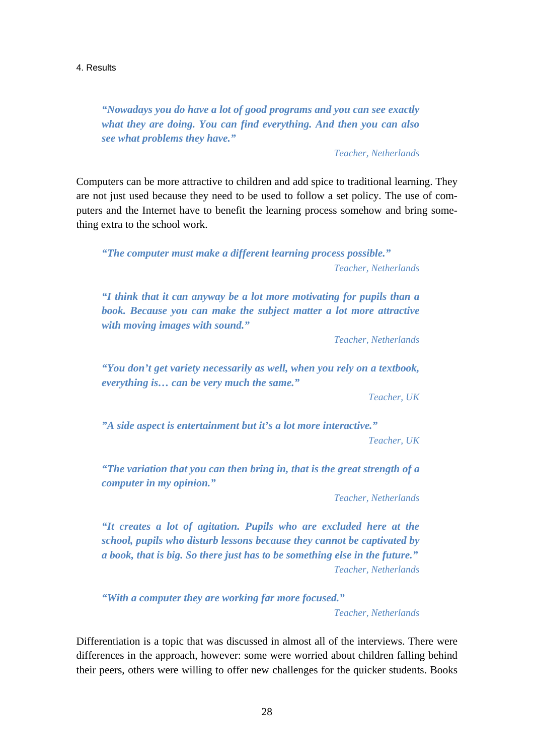*"Nowadays you do have a lot of good programs and you can see exactly what they are doing. You can find everything. And then you can also see what problems they have."* 

*Teacher, Netherlands* 

Computers can be more attractive to children and add spice to traditional learning. They are not just used because they need to be used to follow a set policy. The use of computers and the Internet have to benefit the learning process somehow and bring something extra to the school work.

*"The computer must make a different learning process possible." Teacher, Netherlands* 

*"I think that it can anyway be a lot more motivating for pupils than a book. Because you can make the subject matter a lot more attractive with moving images with sound."* 

*Teacher, Netherlands* 

*"You don't get variety necessarily as well, when you rely on a textbook, everything is… can be very much the same."* 

*Teacher, UK* 

*"A side aspect is entertainment but it's a lot more interactive."* 

*Teacher, UK* 

*"The variation that you can then bring in, that is the great strength of a computer in my opinion."* 

*Teacher, Netherlands* 

*"It creates a lot of agitation. Pupils who are excluded here at the school, pupils who disturb lessons because they cannot be captivated by a book, that is big. So there just has to be something else in the future." Teacher, Netherlands* 

*"With a computer they are working far more focused."* 

*Teacher, Netherlands* 

Differentiation is a topic that was discussed in almost all of the interviews. There were differences in the approach, however: some were worried about children falling behind their peers, others were willing to offer new challenges for the quicker students. Books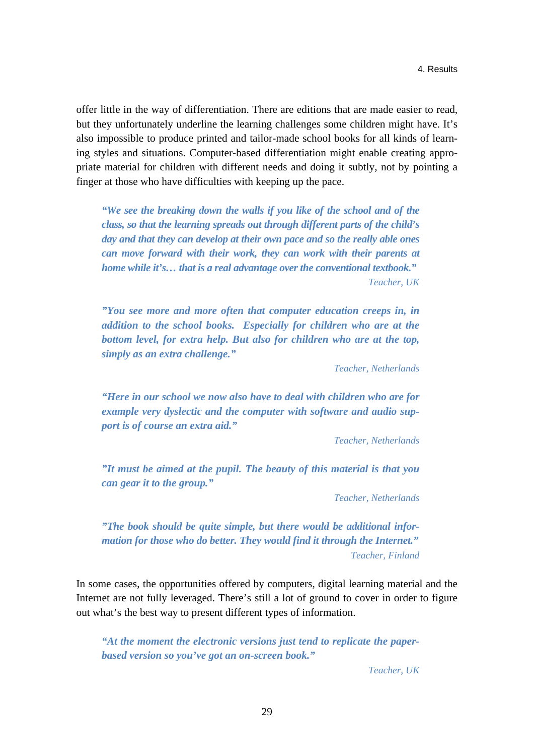offer little in the way of differentiation. There are editions that are made easier to read, but they unfortunately underline the learning challenges some children might have. It's also impossible to produce printed and tailor-made school books for all kinds of learning styles and situations. Computer-based differentiation might enable creating appropriate material for children with different needs and doing it subtly, not by pointing a finger at those who have difficulties with keeping up the pace.

*"We see the breaking down the walls if you like of the school and of the class, so that the learning spreads out through different parts of the child's day and that they can develop at their own pace and so the really able ones can move forward with their work, they can work with their parents at home while it's… that is a real advantage over the conventional textbook." Teacher, UK* 

*"You see more and more often that computer education creeps in, in addition to the school books. Especially for children who are at the bottom level, for extra help. But also for children who are at the top, simply as an extra challenge."* 

*Teacher, Netherlands* 

*"Here in our school we now also have to deal with children who are for example very dyslectic and the computer with software and audio support is of course an extra aid."* 

*Teacher, Netherlands* 

*"It must be aimed at the pupil. The beauty of this material is that you can gear it to the group."* 

*Teacher, Netherlands* 

*"The book should be quite simple, but there would be additional information for those who do better. They would find it through the Internet." Teacher, Finland* 

In some cases, the opportunities offered by computers, digital learning material and the Internet are not fully leveraged. There's still a lot of ground to cover in order to figure out what's the best way to present different types of information.

*"At the moment the electronic versions just tend to replicate the paperbased version so you've got an on-screen book."* 

*Teacher, UK*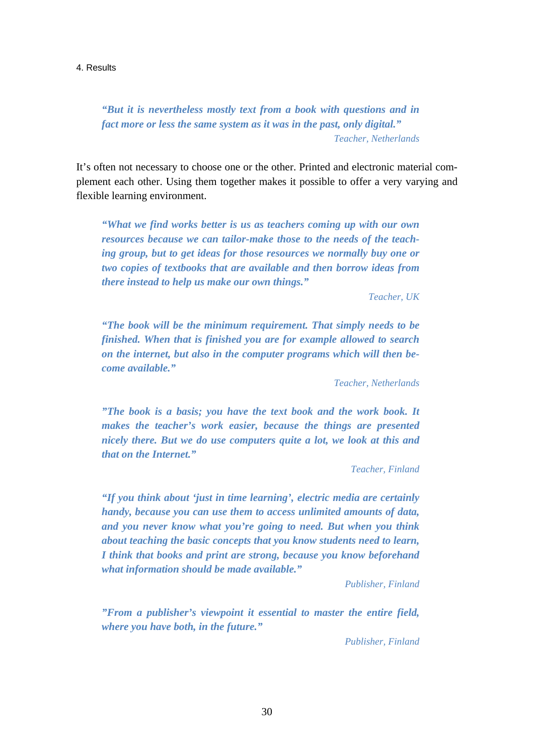*"But it is nevertheless mostly text from a book with questions and in fact more or less the same system as it was in the past, only digital." Teacher, Netherlands* 

It's often not necessary to choose one or the other. Printed and electronic material complement each other. Using them together makes it possible to offer a very varying and flexible learning environment.

*"What we find works better is us as teachers coming up with our own resources because we can tailor-make those to the needs of the teaching group, but to get ideas for those resources we normally buy one or two copies of textbooks that are available and then borrow ideas from there instead to help us make our own things."* 

*Teacher, UK* 

*"The book will be the minimum requirement. That simply needs to be finished. When that is finished you are for example allowed to search on the internet, but also in the computer programs which will then become available."* 

*Teacher, Netherlands* 

*"The book is a basis; you have the text book and the work book. It makes the teacher's work easier, because the things are presented nicely there. But we do use computers quite a lot, we look at this and that on the Internet."* 

*Teacher, Finland* 

*"If you think about 'just in time learning', electric media are certainly handy, because you can use them to access unlimited amounts of data, and you never know what you're going to need. But when you think about teaching the basic concepts that you know students need to learn, I think that books and print are strong, because you know beforehand what information should be made available."* 

*Publisher, Finland* 

*"From a publisher's viewpoint it essential to master the entire field, where you have both, in the future."*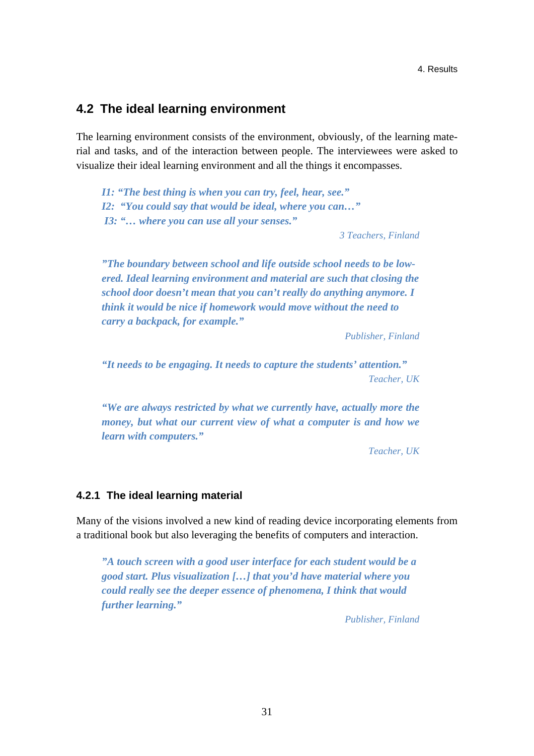## **4.2 The ideal learning environment**

The learning environment consists of the environment, obviously, of the learning material and tasks, and of the interaction between people. The interviewees were asked to visualize their ideal learning environment and all the things it encompasses.

*I1: "The best thing is when you can try, feel, hear, see." I2: "You could say that would be ideal, where you can…" I3: "… where you can use all your senses."* 

*3 Teachers, Finland* 

*"The boundary between school and life outside school needs to be lowered. Ideal learning environment and material are such that closing the school door doesn't mean that you can't really do anything anymore. I think it would be nice if homework would move without the need to carry a backpack, for example."* 

*Publisher, Finland* 

*"It needs to be engaging. It needs to capture the students' attention." Teacher, UK* 

*"We are always restricted by what we currently have, actually more the money, but what our current view of what a computer is and how we learn with computers."* 

*Teacher, UK* 

## **4.2.1 The ideal learning material**

Many of the visions involved a new kind of reading device incorporating elements from a traditional book but also leveraging the benefits of computers and interaction.

*"A touch screen with a good user interface for each student would be a good start. Plus visualization […] that you'd have material where you could really see the deeper essence of phenomena, I think that would further learning."*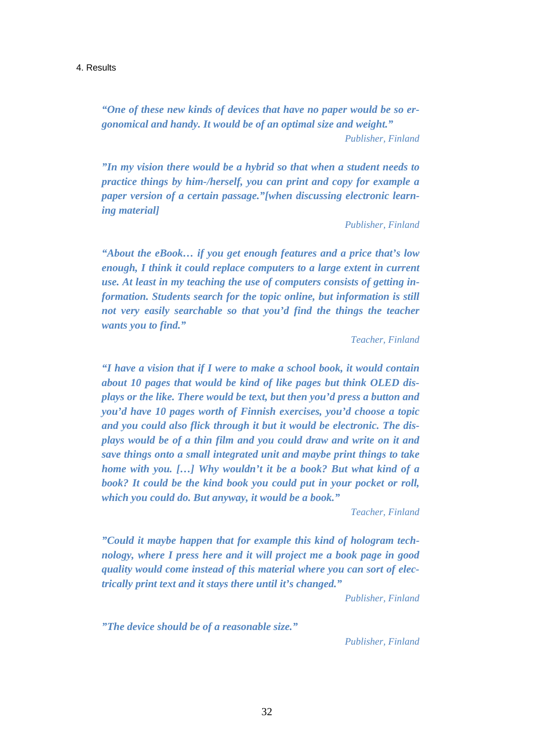*"One of these new kinds of devices that have no paper would be so ergonomical and handy. It would be of an optimal size and weight." Publisher, Finland* 

*"In my vision there would be a hybrid so that when a student needs to practice things by him-/herself, you can print and copy for example a paper version of a certain passage."[when discussing electronic learning material]* 

*Publisher, Finland* 

*"About the eBook… if you get enough features and a price that's low enough, I think it could replace computers to a large extent in current use. At least in my teaching the use of computers consists of getting information. Students search for the topic online, but information is still not very easily searchable so that you'd find the things the teacher wants you to find."* 

*Teacher, Finland* 

*"I have a vision that if I were to make a school book, it would contain about 10 pages that would be kind of like pages but think OLED displays or the like. There would be text, but then you'd press a button and you'd have 10 pages worth of Finnish exercises, you'd choose a topic and you could also flick through it but it would be electronic. The displays would be of a thin film and you could draw and write on it and save things onto a small integrated unit and maybe print things to take home with you. […] Why wouldn't it be a book? But what kind of a book? It could be the kind book you could put in your pocket or roll, which you could do. But anyway, it would be a book."* 

*Teacher, Finland* 

*"Could it maybe happen that for example this kind of hologram technology, where I press here and it will project me a book page in good quality would come instead of this material where you can sort of electrically print text and it stays there until it's changed."* 

*Publisher, Finland* 

*"The device should be of a reasonable size."*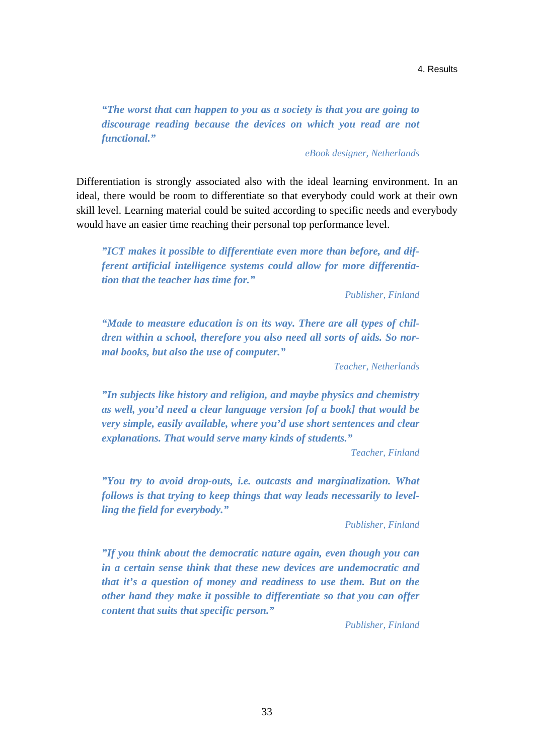*"The worst that can happen to you as a society is that you are going to discourage reading because the devices on which you read are not functional."* 

*eBook designer, Netherlands* 

Differentiation is strongly associated also with the ideal learning environment. In an ideal, there would be room to differentiate so that everybody could work at their own skill level. Learning material could be suited according to specific needs and everybody would have an easier time reaching their personal top performance level.

*"ICT makes it possible to differentiate even more than before, and different artificial intelligence systems could allow for more differentiation that the teacher has time for."* 

*Publisher, Finland* 

*"Made to measure education is on its way. There are all types of children within a school, therefore you also need all sorts of aids. So normal books, but also the use of computer."* 

*Teacher, Netherlands* 

*"In subjects like history and religion, and maybe physics and chemistry as well, you'd need a clear language version [of a book] that would be very simple, easily available, where you'd use short sentences and clear explanations. That would serve many kinds of students."* 

*Teacher, Finland* 

*"You try to avoid drop-outs, i.e. outcasts and marginalization. What follows is that trying to keep things that way leads necessarily to levelling the field for everybody."* 

*Publisher, Finland* 

*"If you think about the democratic nature again, even though you can in a certain sense think that these new devices are undemocratic and that it's a question of money and readiness to use them. But on the other hand they make it possible to differentiate so that you can offer content that suits that specific person."*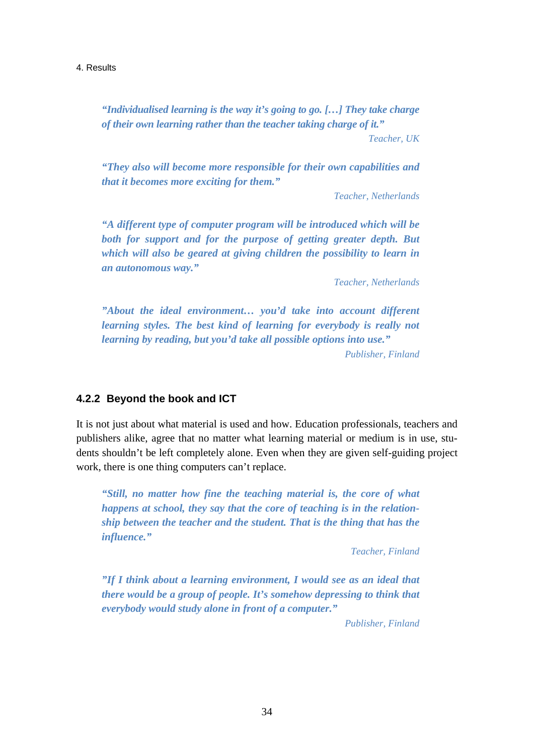*"Individualised learning is the way it's going to go. […] They take charge of their own learning rather than the teacher taking charge of it."* 

*Teacher, UK* 

*"They also will become more responsible for their own capabilities and that it becomes more exciting for them."* 

*Teacher, Netherlands* 

*"A different type of computer program will be introduced which will be both for support and for the purpose of getting greater depth. But which will also be geared at giving children the possibility to learn in an autonomous way."* 

*Teacher, Netherlands* 

*"About the ideal environment… you'd take into account different learning styles. The best kind of learning for everybody is really not learning by reading, but you'd take all possible options into use." Publisher, Finland* 

## **4.2.2 Beyond the book and ICT**

It is not just about what material is used and how. Education professionals, teachers and publishers alike, agree that no matter what learning material or medium is in use, students shouldn't be left completely alone. Even when they are given self-guiding project work, there is one thing computers can't replace.

*"Still, no matter how fine the teaching material is, the core of what happens at school, they say that the core of teaching is in the relationship between the teacher and the student. That is the thing that has the influence."* 

*Teacher, Finland* 

*"If I think about a learning environment, I would see as an ideal that there would be a group of people. It's somehow depressing to think that everybody would study alone in front of a computer."*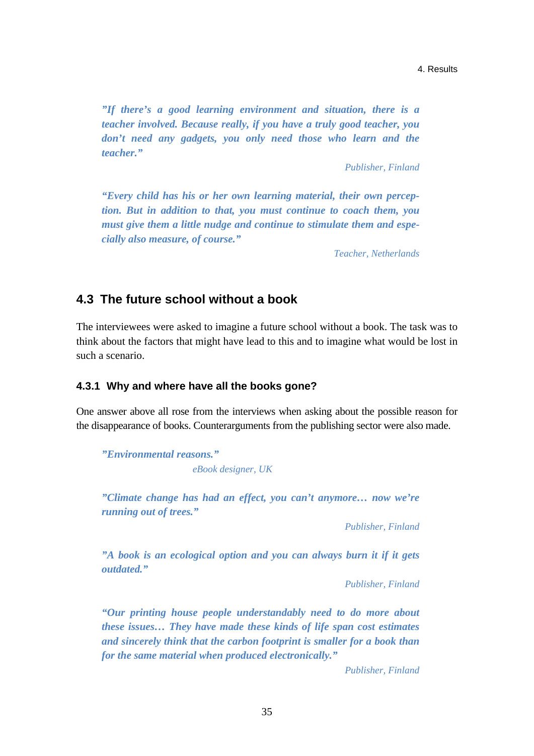*"If there's a good learning environment and situation, there is a teacher involved. Because really, if you have a truly good teacher, you don't need any gadgets, you only need those who learn and the teacher."* 

*Publisher, Finland* 

*"Every child has his or her own learning material, their own perception. But in addition to that, you must continue to coach them, you must give them a little nudge and continue to stimulate them and especially also measure, of course."* 

*Teacher, Netherlands* 

## **4.3 The future school without a book**

The interviewees were asked to imagine a future school without a book. The task was to think about the factors that might have lead to this and to imagine what would be lost in such a scenario.

### **4.3.1 Why and where have all the books gone?**

One answer above all rose from the interviews when asking about the possible reason for the disappearance of books. Counterarguments from the publishing sector were also made.

*"Environmental reasons." eBook designer, UK* 

*"Climate change has had an effect, you can't anymore… now we're running out of trees."* 

*Publisher, Finland* 

*"A book is an ecological option and you can always burn it if it gets outdated."* 

*Publisher, Finland* 

*"Our printing house people understandably need to do more about these issues… They have made these kinds of life span cost estimates and sincerely think that the carbon footprint is smaller for a book than for the same material when produced electronically."*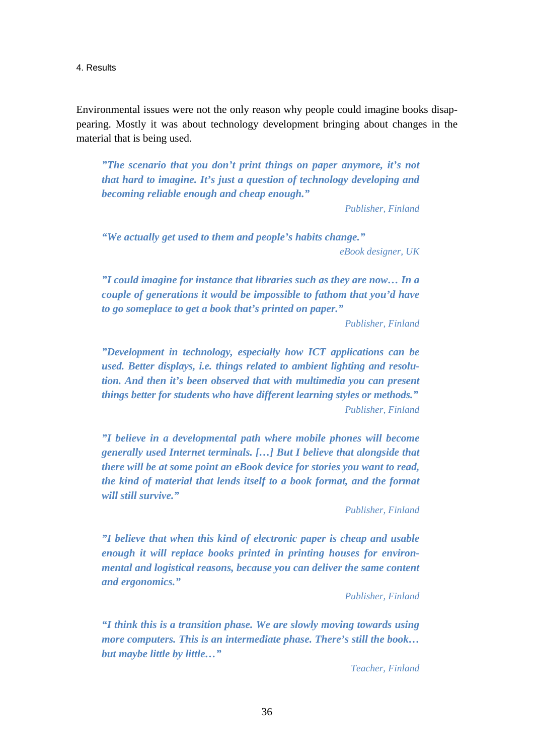Environmental issues were not the only reason why people could imagine books disappearing. Mostly it was about technology development bringing about changes in the material that is being used.

*"The scenario that you don't print things on paper anymore, it's not that hard to imagine. It's just a question of technology developing and becoming reliable enough and cheap enough."* 

*Publisher, Finland* 

*"We actually get used to them and people's habits change."* 

*eBook designer, UK* 

*"I could imagine for instance that libraries such as they are now… In a couple of generations it would be impossible to fathom that you'd have to go someplace to get a book that's printed on paper."* 

*Publisher, Finland* 

*"Development in technology, especially how ICT applications can be used. Better displays, i.e. things related to ambient lighting and resolution. And then it's been observed that with multimedia you can present things better for students who have different learning styles or methods." Publisher, Finland* 

*"I believe in a developmental path where mobile phones will become generally used Internet terminals. […] But I believe that alongside that there will be at some point an eBook device for stories you want to read, the kind of material that lends itself to a book format, and the format will still survive."* 

*Publisher, Finland* 

*"I believe that when this kind of electronic paper is cheap and usable enough it will replace books printed in printing houses for environmental and logistical reasons, because you can deliver the same content and ergonomics."* 

*Publisher, Finland* 

*"I think this is a transition phase. We are slowly moving towards using more computers. This is an intermediate phase. There's still the book… but maybe little by little…"* 

*Teacher, Finland*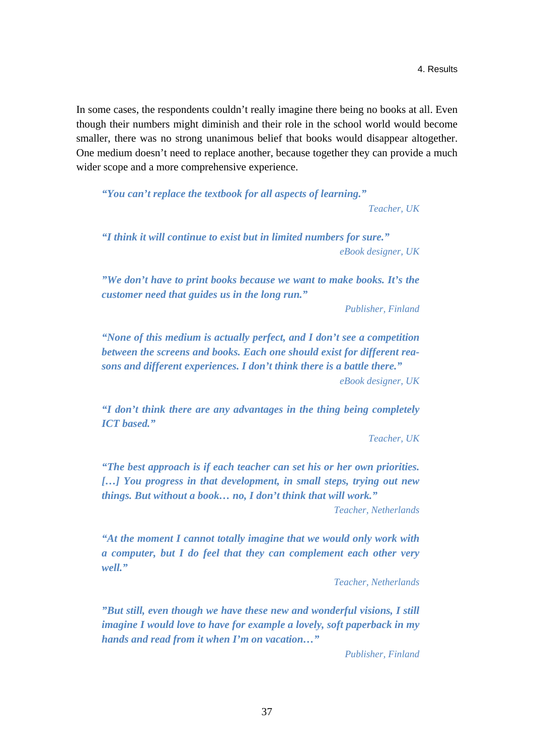In some cases, the respondents couldn't really imagine there being no books at all. Even though their numbers might diminish and their role in the school world would become smaller, there was no strong unanimous belief that books would disappear altogether. One medium doesn't need to replace another, because together they can provide a much wider scope and a more comprehensive experience.

*"You can't replace the textbook for all aspects of learning."* 

*Teacher, UK* 

*"I think it will continue to exist but in limited numbers for sure." eBook designer, UK* 

*"We don't have to print books because we want to make books. It's the customer need that guides us in the long run."* 

*Publisher, Finland* 

*"None of this medium is actually perfect, and I don't see a competition between the screens and books. Each one should exist for different reasons and different experiences. I don't think there is a battle there."* 

*eBook designer, UK* 

*"I don't think there are any advantages in the thing being completely ICT based."* 

*Teacher, UK* 

*"The best approach is if each teacher can set his or her own priorities. […] You progress in that development, in small steps, trying out new things. But without a book… no, I don't think that will work."* 

*Teacher, Netherlands* 

*"At the moment I cannot totally imagine that we would only work with a computer, but I do feel that they can complement each other very well."* 

*Teacher, Netherlands* 

*"But still, even though we have these new and wonderful visions, I still imagine I would love to have for example a lovely, soft paperback in my hands and read from it when I'm on vacation…"*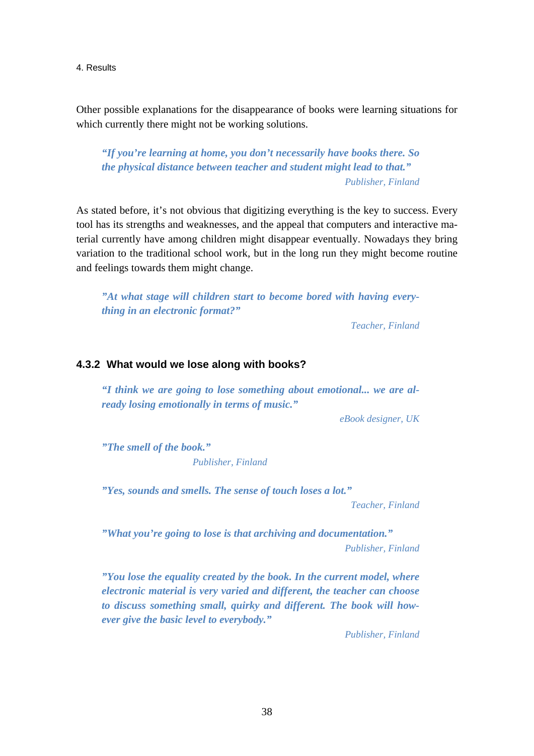Other possible explanations for the disappearance of books were learning situations for which currently there might not be working solutions.

*"If you're learning at home, you don't necessarily have books there. So the physical distance between teacher and student might lead to that." Publisher, Finland* 

As stated before, it's not obvious that digitizing everything is the key to success. Every tool has its strengths and weaknesses, and the appeal that computers and interactive material currently have among children might disappear eventually. Nowadays they bring variation to the traditional school work, but in the long run they might become routine and feelings towards them might change.

*"At what stage will children start to become bored with having everything in an electronic format?"* 

*Teacher, Finland* 

## **4.3.2 What would we lose along with books?**

*"I think we are going to lose something about emotional... we are already losing emotionally in terms of music."* 

*eBook designer, UK*

*"The smell of the book." Publisher, Finland* 

*"Yes, sounds and smells. The sense of touch loses a lot."* 

*Teacher, Finland* 

*"What you're going to lose is that archiving and documentation." Publisher, Finland* 

*"You lose the equality created by the book. In the current model, where electronic material is very varied and different, the teacher can choose to discuss something small, quirky and different. The book will however give the basic level to everybody."*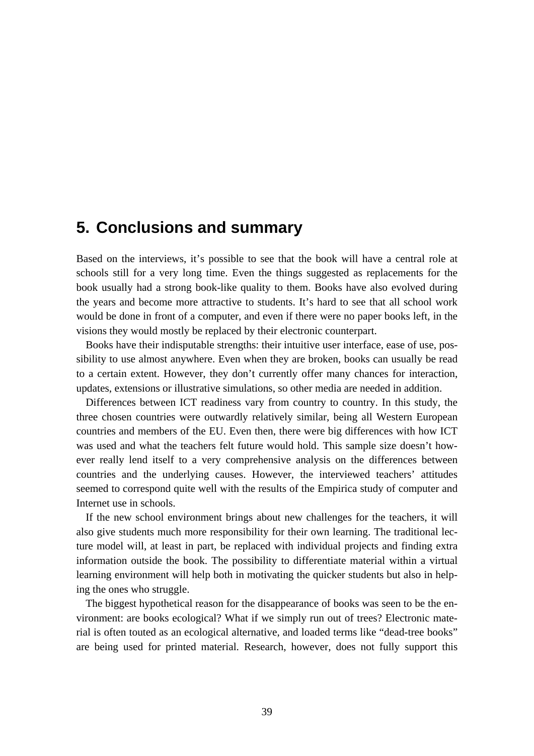## **5. Conclusions and summary**

Based on the interviews, it's possible to see that the book will have a central role at schools still for a very long time. Even the things suggested as replacements for the book usually had a strong book-like quality to them. Books have also evolved during the years and become more attractive to students. It's hard to see that all school work would be done in front of a computer, and even if there were no paper books left, in the visions they would mostly be replaced by their electronic counterpart.

Books have their indisputable strengths: their intuitive user interface, ease of use, possibility to use almost anywhere. Even when they are broken, books can usually be read to a certain extent. However, they don't currently offer many chances for interaction, updates, extensions or illustrative simulations, so other media are needed in addition.

Differences between ICT readiness vary from country to country. In this study, the three chosen countries were outwardly relatively similar, being all Western European countries and members of the EU. Even then, there were big differences with how ICT was used and what the teachers felt future would hold. This sample size doesn't however really lend itself to a very comprehensive analysis on the differences between countries and the underlying causes. However, the interviewed teachers' attitudes seemed to correspond quite well with the results of the Empirica study of computer and Internet use in schools.

If the new school environment brings about new challenges for the teachers, it will also give students much more responsibility for their own learning. The traditional lecture model will, at least in part, be replaced with individual projects and finding extra information outside the book. The possibility to differentiate material within a virtual learning environment will help both in motivating the quicker students but also in helping the ones who struggle.

The biggest hypothetical reason for the disappearance of books was seen to be the environment: are books ecological? What if we simply run out of trees? Electronic material is often touted as an ecological alternative, and loaded terms like "dead-tree books" are being used for printed material. Research, however, does not fully support this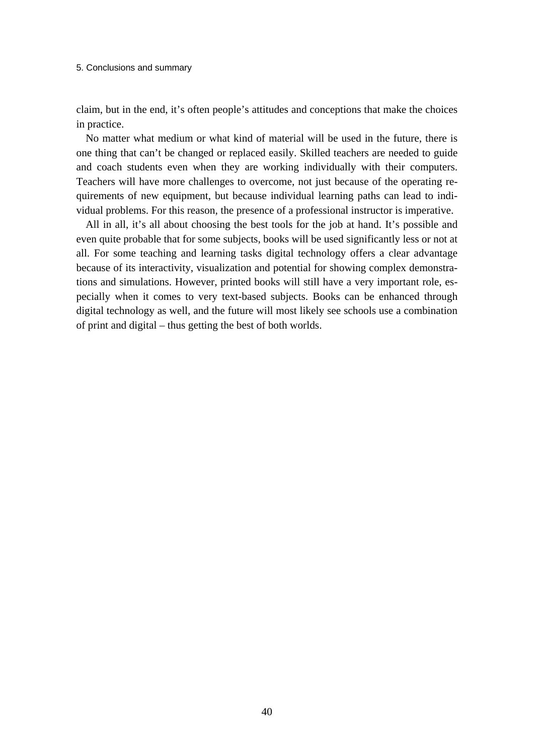#### 5. Conclusions and summary

claim, but in the end, it's often people's attitudes and conceptions that make the choices in practice.

No matter what medium or what kind of material will be used in the future, there is one thing that can't be changed or replaced easily. Skilled teachers are needed to guide and coach students even when they are working individually with their computers. Teachers will have more challenges to overcome, not just because of the operating requirements of new equipment, but because individual learning paths can lead to individual problems. For this reason, the presence of a professional instructor is imperative.

All in all, it's all about choosing the best tools for the job at hand. It's possible and even quite probable that for some subjects, books will be used significantly less or not at all. For some teaching and learning tasks digital technology offers a clear advantage because of its interactivity, visualization and potential for showing complex demonstrations and simulations. However, printed books will still have a very important role, especially when it comes to very text-based subjects. Books can be enhanced through digital technology as well, and the future will most likely see schools use a combination of print and digital – thus getting the best of both worlds.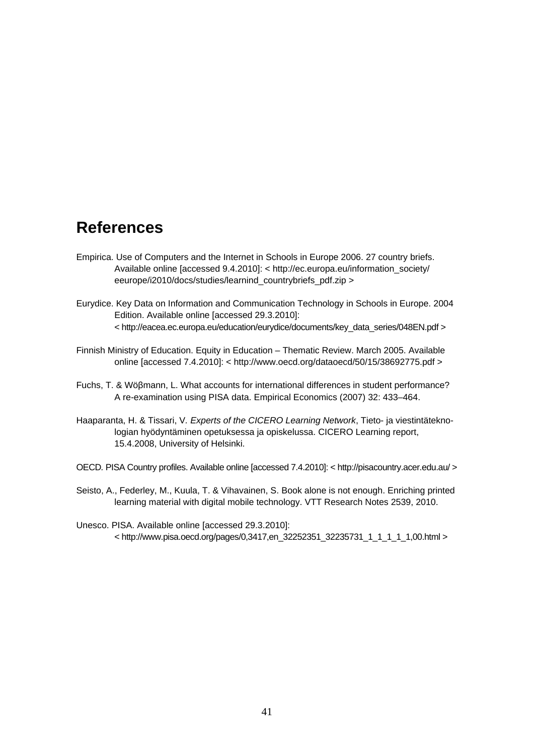## **References**

- Empirica. Use of Computers and the Internet in Schools in Europe 2006. 27 country briefs. [Available online \[accessed 9.4.2010\]: < http://ec.europa.eu/information\\_society/](http://ec.europa.eu/information_society/eeurope/i2010/docs/studies/learnind_countrybriefs_pdf.zip)  eeurope/i2010/docs/studies/learnind\_countrybriefs\_pdf.zip >
- Eurydice. Key Data on Information and Communication Technology in Schools in Europe. 2004 Edition. Available online [accessed 29.3.2010]: < [http://eacea.ec.europa.eu/education/eurydice/documents/key\\_data\\_series/048EN.pdf >](http://eacea.ec.europa.eu/education/eurydice/documents/key_data_series/048EN.pdf)
- Finnish Ministry of Education. Equity in Education Thematic Review. March 2005. Available online [accessed 7.4.2010]: < [http://www.oecd.org/dataoecd/50/15/38692775.pdf >](http://www.oecd.org/dataoecd/50/15/38692775.pdf)
- Fuchs, T. & Wöβmann, L. What accounts for international differences in student performance? A re-examination using PISA data. Empirical Economics (2007) 32: 433–464.
- Haaparanta, H. & Tissari, V*. Experts of the CICERO Learning Network*, Tieto- ja viestintäteknologian hyödyntäminen opetuksessa ja opiskelussa. CICERO Learning report, 15.4.2008, University of Helsinki.
- OECD*.* PISA Country profiles. Available online [accessed 7.4.2010]: < [http://pisacountry.acer.edu.au/ >](http://pisacountry.acer.edu.au/)
- Seisto, A., Federley, M., Kuula, T. & Vihavainen, S. Book alone is not enough. Enriching printed learning material with digital mobile technology. VTT Research Notes 2539, 2010.
- Unesco. PISA. Available online [accessed 29.3.2010]: < [http://www.pisa.oecd.org/pages/0,3417,e](http://www.pisa.oecd.org/pages/0,3417,en_32252351_32235731_1_1_1_1_1,00.html)n\_32252351\_32235731\_1\_1\_1\_1\_1,00.html >